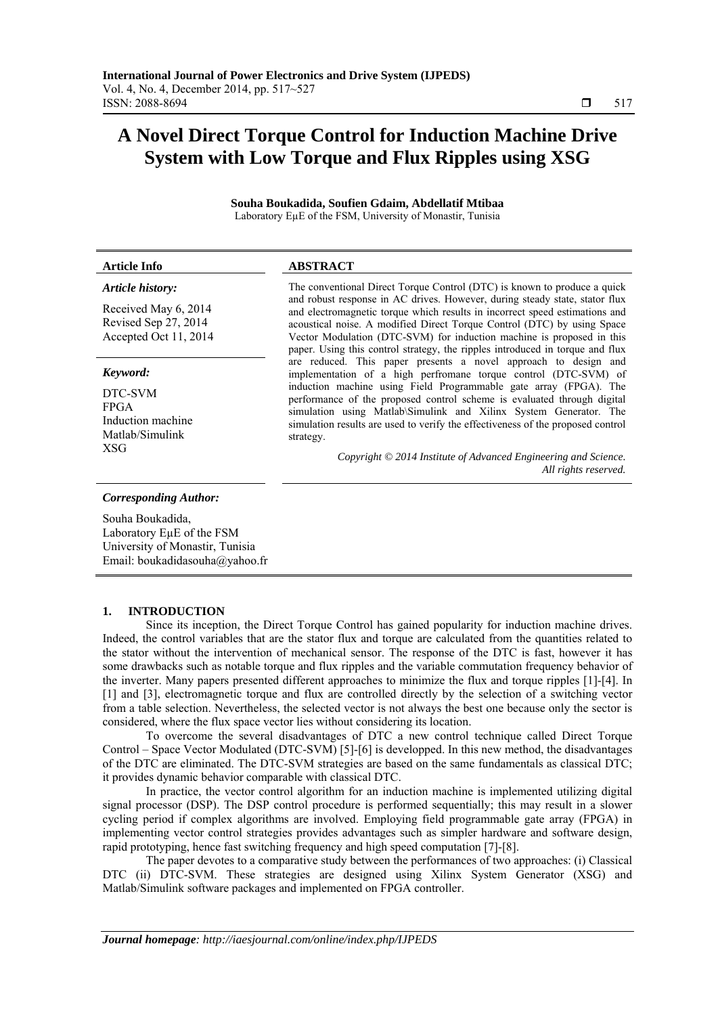# **A Novel Direct Torque Control for Induction Machine Drive System with Low Torque and Flux Ripples using XSG**

**Souha Boukadida, Soufien Gdaim, Abdellatif Mtibaa**  Laboratory EµE of the FSM, University of Monastir, Tunisia

| <b>Article Info</b>                                                   | <b>ABSTRACT</b>                                                                                                                                                                                                                                                                                                                                                                                 |  |  |  |
|-----------------------------------------------------------------------|-------------------------------------------------------------------------------------------------------------------------------------------------------------------------------------------------------------------------------------------------------------------------------------------------------------------------------------------------------------------------------------------------|--|--|--|
| Article history:                                                      | The conventional Direct Torque Control (DTC) is known to produce a quick                                                                                                                                                                                                                                                                                                                        |  |  |  |
| Received May 6, 2014<br>Revised Sep 27, 2014<br>Accepted Oct 11, 2014 | and robust response in AC drives. However, during steady state, stator flux<br>and electromagnetic torque which results in incorrect speed estimations and<br>acoustical noise. A modified Direct Torque Control (DTC) by using Space<br>Vector Modulation (DTC-SVM) for induction machine is proposed in this<br>paper. Using this control strategy, the ripples introduced in torque and flux |  |  |  |
| Keyword:                                                              | are reduced. This paper presents a novel approach to design and<br>implementation of a high perfromane torque control (DTC-SVM) of                                                                                                                                                                                                                                                              |  |  |  |
| DTC-SVM<br>FPGA<br>Induction machine                                  | induction machine using Field Programmable gate array (FPGA). The<br>performance of the proposed control scheme is evaluated through digital<br>simulation using Matlab\Simulink and Xilinx System Generator. The<br>equilibrium results are used to verify the effectiveness of the prepayed control                                                                                           |  |  |  |

strategy.

*Copyright © 2014 Institute of Advanced Engineering and Science. All rights reserved.* 

simulation results are used to verify the effectiveness of the proposed control

## *Corresponding Author:*

Matlab/Simulink

XSG

Souha Boukadida, Laboratory EµE of the FSM University of Monastir, Tunisia Email: boukadidasouha@yahoo.fr

#### **1. INTRODUCTION**

Since its inception, the Direct Torque Control has gained popularity for induction machine drives. Indeed, the control variables that are the stator flux and torque are calculated from the quantities related to the stator without the intervention of mechanical sensor. The response of the DTC is fast, however it has some drawbacks such as notable torque and flux ripples and the variable commutation frequency behavior of the inverter. Many papers presented different approaches to minimize the flux and torque ripples [1]-[4]. In [1] and [3], electromagnetic torque and flux are controlled directly by the selection of a switching vector from a table selection. Nevertheless, the selected vector is not always the best one because only the sector is considered, where the flux space vector lies without considering its location.

To overcome the several disadvantages of DTC a new control technique called Direct Torque Control – Space Vector Modulated (DTC-SVM) [5]-[6] is developped. In this new method, the disadvantages of the DTC are eliminated. The DTC-SVM strategies are based on the same fundamentals as classical DTC; it provides dynamic behavior comparable with classical DTC.

In practice, the vector control algorithm for an induction machine is implemented utilizing digital signal processor (DSP). The DSP control procedure is performed sequentially; this may result in a slower cycling period if complex algorithms are involved. Employing field programmable gate array (FPGA) in implementing vector control strategies provides advantages such as simpler hardware and software design, rapid prototyping, hence fast switching frequency and high speed computation [7]-[8].

The paper devotes to a comparative study between the performances of two approaches: (i) Classical DTC (ii) DTC-SVM. These strategies are designed using Xilinx System Generator (XSG) and Matlab/Simulink software packages and implemented on FPGA controller.

ֺֺ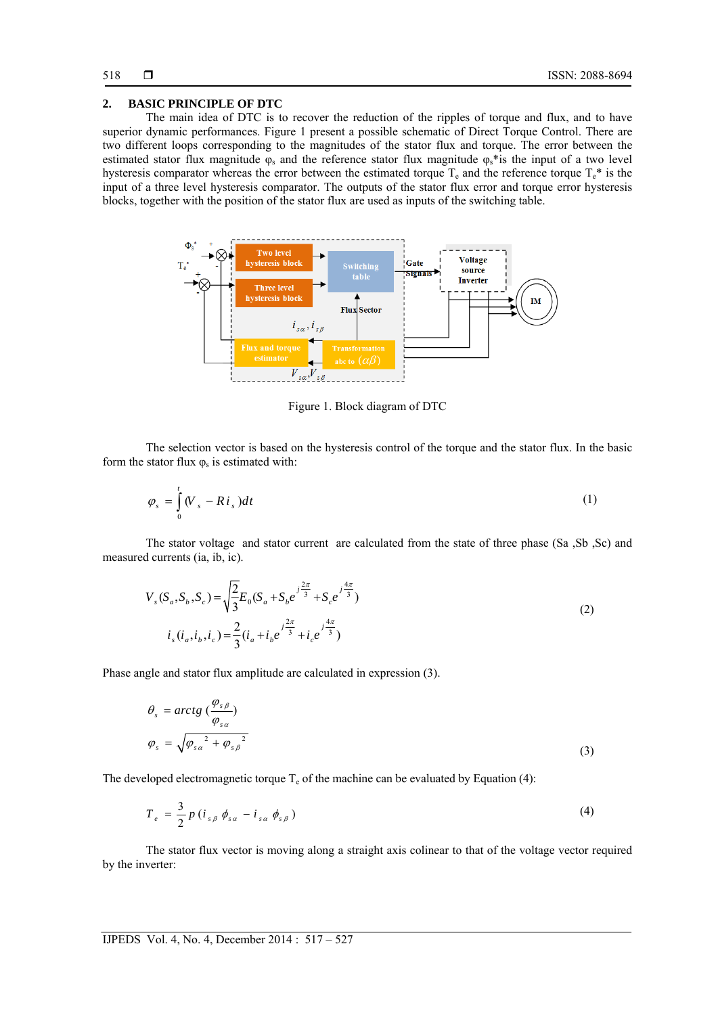## **2. BASIC PRINCIPLE OF DTC**

The main idea of DTC is to recover the reduction of the ripples of torque and flux, and to have superior dynamic performances. Figure 1 present a possible schematic of Direct Torque Control. There are two different loops corresponding to the magnitudes of the stator flux and torque. The error between the estimated stator flux magnitude  $\varphi_s$  and the reference stator flux magnitude  $\varphi_s$ <sup>\*</sup>is the input of a two level hysteresis comparator whereas the error between the estimated torque  $T_e$  and the reference torque  $T_e^*$  is the input of a three level hysteresis comparator. The outputs of the stator flux error and torque error hysteresis blocks, together with the position of the stator flux are used as inputs of the switching table.



Figure 1. Block diagram of DTC

The selection vector is based on the hysteresis control of the torque and the stator flux. In the basic form the stator flux  $\varphi_s$  is estimated with:

$$
\varphi_s = \int_0^t (V_s - Ri_s) dt \tag{1}
$$

The stator voltage and stator current are calculated from the state of three phase (Sa ,Sb ,Sc) and measured currents (ia, ib, ic).

$$
V_s(S_a, S_b, S_c) = \sqrt{\frac{2}{3}} E_0 (S_a + S_b e^{-j\frac{2\pi}{3}} + S_c e^{-j\frac{4\pi}{3}})
$$
  
\n
$$
i_s (i_a, i_b, i_c) = \frac{2}{3} (i_a + i_b e^{-j\frac{2\pi}{3}} + i_c e^{-j\frac{4\pi}{3}})
$$
\n(2)

Phase angle and stator flux amplitude are calculated in expression (3).

$$
\theta_s = \arctg \left( \frac{\varphi_{s\beta}}{\varphi_{s\alpha}} \right)
$$
  

$$
\varphi_s = \sqrt{\varphi_{s\alpha}^2 + \varphi_{s\beta}^2}
$$
 (3)

The developed electromagnetic torque  $T_e$  of the machine can be evaluated by Equation (4):

$$
T_e = \frac{3}{2} p \left( i_{s\beta} \phi_{s\alpha} - i_{s\alpha} \phi_{s\beta} \right)
$$
 (4)

The stator flux vector is moving along a straight axis colinear to that of the voltage vector required by the inverter: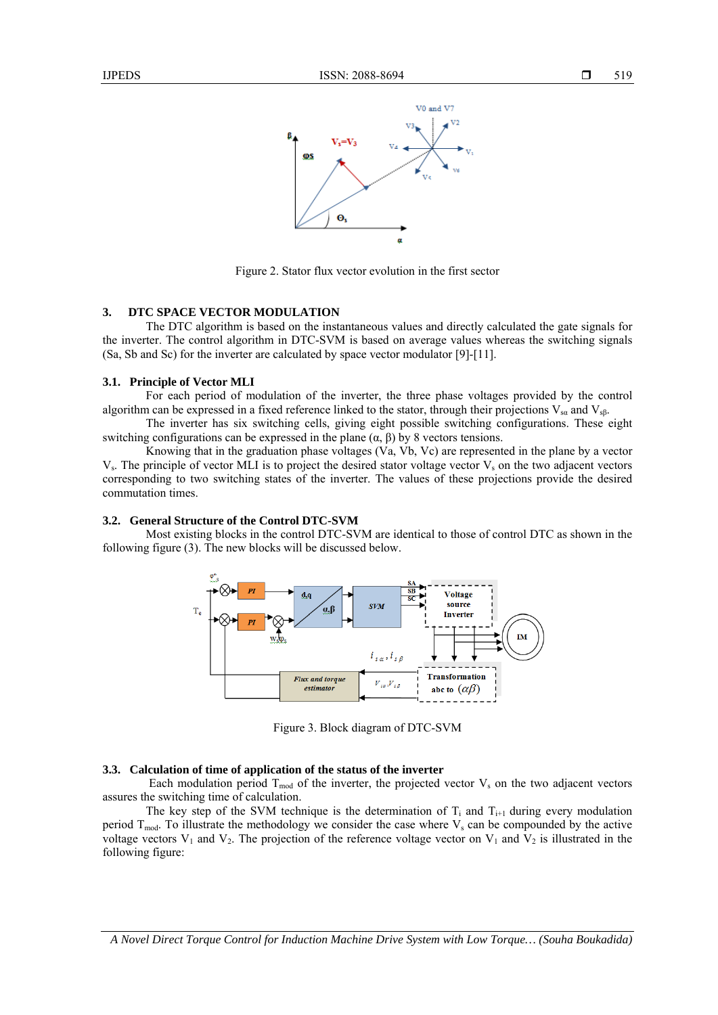

Figure 2. Stator flux vector evolution in the first sector

## **3. DTC SPACE VECTOR MODULATION**

The DTC algorithm is based on the instantaneous values and directly calculated the gate signals for the inverter. The control algorithm in DTC-SVM is based on average values whereas the switching signals (Sa, Sb and Sc) for the inverter are calculated by space vector modulator [9]-[11].

#### **3.1. Principle of Vector MLI**

For each period of modulation of the inverter, the three phase voltages provided by the control algorithm can be expressed in a fixed reference linked to the stator, through their projections  $V_{sa}$  and  $V_{sb}$ .

The inverter has six switching cells, giving eight possible switching configurations. These eight switching configurations can be expressed in the plane  $(α, β)$  by 8 vectors tensions.

Knowing that in the graduation phase voltages (Va, Vb, Vc) are represented in the plane by a vector  $V_s$ . The principle of vector MLI is to project the desired stator voltage vector  $V_s$  on the two adjacent vectors corresponding to two switching states of the inverter. The values of these projections provide the desired commutation times.

#### **3.2. General Structure of the Control DTC-SVM**

Most existing blocks in the control DTC-SVM are identical to those of control DTC as shown in the following figure (3). The new blocks will be discussed below.



Figure 3. Block diagram of DTC-SVM

#### **3.3. Calculation of time of application of the status of the inverter**

Each modulation period  $T_{mod}$  of the inverter, the projected vector  $V_s$  on the two adjacent vectors assures the switching time of calculation.

The key step of the SVM technique is the determination of  $T_i$  and  $T_{i+1}$  during every modulation period  $T_{mod}$ . To illustrate the methodology we consider the case where  $V_s$  can be compounded by the active voltage vectors  $V_1$  and  $V_2$ . The projection of the reference voltage vector on  $V_1$  and  $V_2$  is illustrated in the following figure:

*A Novel Direct Torque Control for Induction Machine Drive System with Low Torque… (Souha Boukadida)*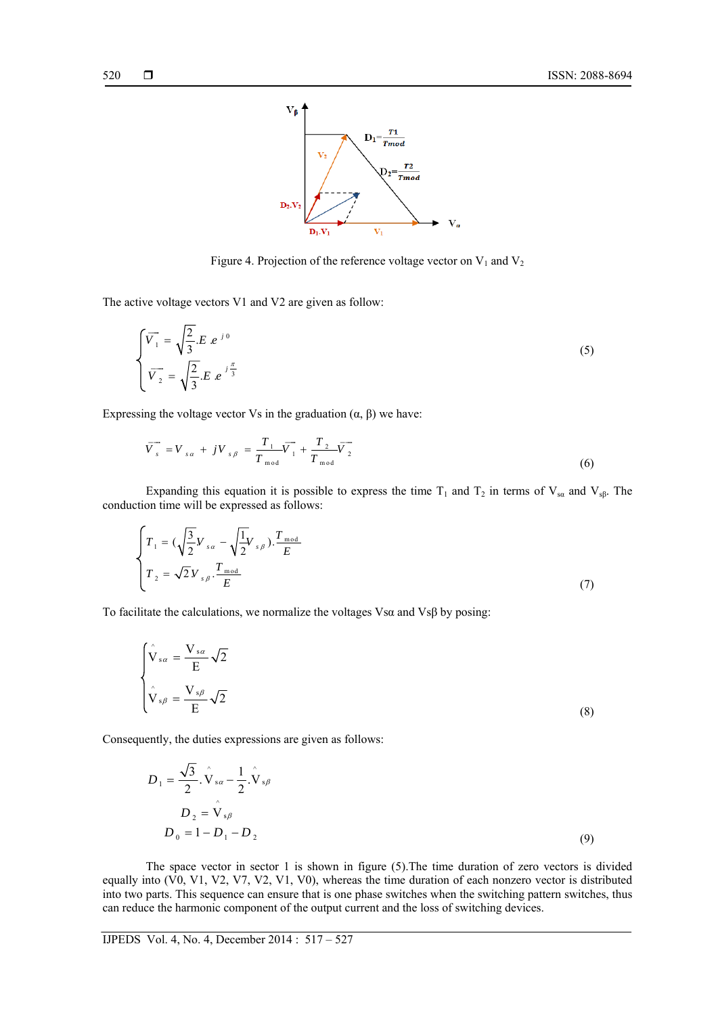

Figure 4. Projection of the reference voltage vector on  $V_1$  and  $V_2$ 

The active voltage vectors V1 and V2 are given as follow:

$$
\begin{cases}\n\overline{V}_1 = \sqrt{\frac{2}{3}}.E \ e^{j0} \\
\overline{V}_2 = \sqrt{\frac{2}{3}}.E \ e^{j\frac{\pi}{3}}\n\end{cases}
$$
\n(5)

Expressing the voltage vector Vs in the graduation  $(\alpha, \beta)$  we have:

$$
\overrightarrow{V}_{s} = V_{sa} + jV_{s\beta} = \frac{T_{1}}{T_{mod}}\overrightarrow{V}_{1} + \frac{T_{2}}{T_{mod}}\overrightarrow{V}_{2}
$$
\n(6)

Expanding this equation it is possible to express the time T<sub>1</sub> and T<sub>2</sub> in terms of V<sub>sa</sub> and V<sub>sβ</sub>. The conduction time will be expressed as follows:

$$
\begin{cases}\nT_1 = (\sqrt{\frac{3}{2}}V_{sa} - \sqrt{\frac{1}{2}}V_{s\beta}).\frac{T_{\text{mod}}}{E} \\
T_2 = \sqrt{2}V_{s\beta}.\frac{T_{\text{mod}}}{E}\n\end{cases}
$$
\n(7)

To facilitate the calculations, we normalize the voltages Vsα and Vsβ by posing:

$$
\begin{cases}\n\hat{\mathbf{V}}_{s\alpha} = \frac{\mathbf{V}_{s\alpha}}{E} \sqrt{2} \\
\hat{\mathbf{V}}_{s\beta} = \frac{\mathbf{V}_{s\beta}}{E} \sqrt{2}\n\end{cases}
$$
\n(8)

Consequently, the duties expressions are given as follows:

$$
D_1 = \frac{\sqrt{3}}{2} \cdot \hat{\mathbf{V}}_{sa} - \frac{1}{2} \cdot \hat{\mathbf{V}}_{s\beta}
$$
  
\n
$$
D_2 = \hat{\mathbf{V}}_{s\beta}
$$
  
\n
$$
D_0 = 1 - D_1 - D_2
$$
 (9)

The space vector in sector 1 is shown in figure (5).The time duration of zero vectors is divided equally into (V0, V1, V2, V7, V2, V1, V0), whereas the time duration of each nonzero vector is distributed into two parts. This sequence can ensure that is one phase switches when the switching pattern switches, thus can reduce the harmonic component of the output current and the loss of switching devices.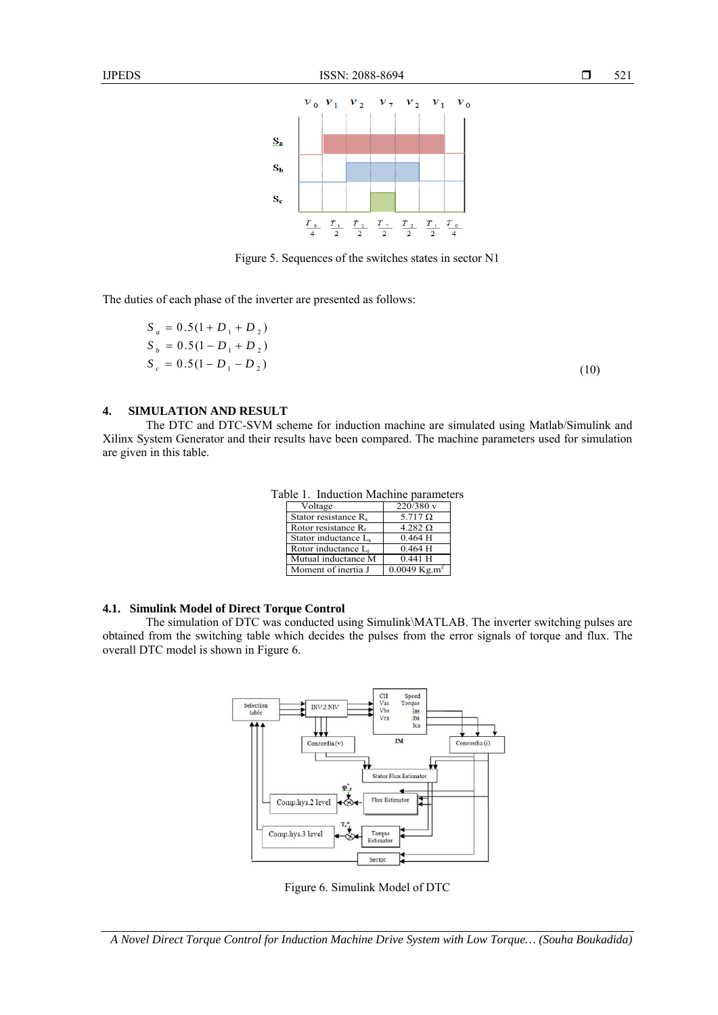

Figure 5. Sequences of the switches states in sector N1

The duties of each phase of the inverter are presented as follows:

$$
S_a = 0.5(1 + D_1 + D_2)
$$
  
\n
$$
S_b = 0.5(1 - D_1 + D_2)
$$
  
\n
$$
S_c = 0.5(1 - D_1 - D_2)
$$
\n(10)

## **4. SIMULATION AND RESULT**

The DTC and DTC-SVM scheme for induction machine are simulated using Matlab/Simulink and Xilinx System Generator and their results have been compared. The machine parameters used for simulation are given in this table.

| Voltage                          | 220/380 v                  |  |
|----------------------------------|----------------------------|--|
| Stator resistance R <sub>s</sub> | 5.717 $\Omega$             |  |
| Rotor resistance $R_r$           | 4.282 $\Omega$             |  |
| Stator inductance L.             | 0.464H                     |  |
| Rotor inductance L <sub>r</sub>  | 0.464H                     |  |
| Mutual inductance M              | $0.441$ H                  |  |
| Moment of inertia J              | $0.0049$ Kg.m <sup>2</sup> |  |

Table 1. Induction Machine parameters

#### **4.1. Simulink Model of Direct Torque Control**

The simulation of DTC was conducted using Simulink\MATLAB. The inverter switching pulses are obtained from the switching table which decides the pulses from the error signals of torque and flux. The overall DTC model is shown in Figure 6.



Figure 6. Simulink Model of DTC

*A Novel Direct Torque Control for Induction Machine Drive System with Low Torque… (Souha Boukadida)*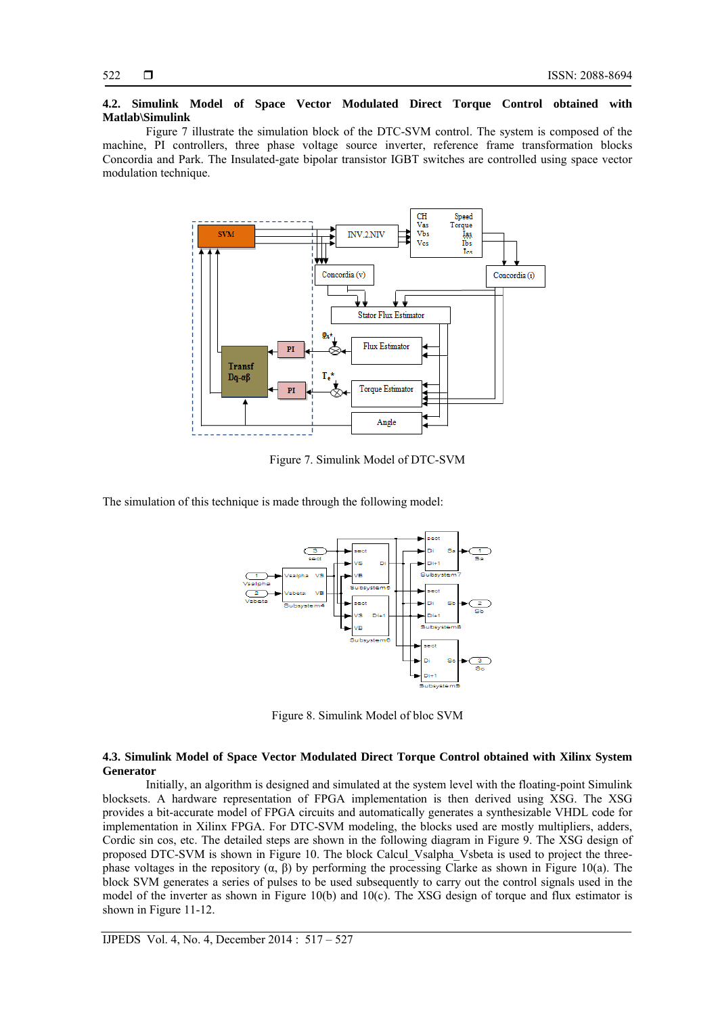## **4.2. Simulink Model of Space Vector Modulated Direct Torque Control obtained with Matlab\Simulink**

Figure 7 illustrate the simulation block of the DTC-SVM control. The system is composed of the machine, PI controllers, three phase voltage source inverter, reference frame transformation blocks Concordia and Park. The Insulated-gate bipolar transistor IGBT switches are controlled using space vector modulation technique.



Figure 7. Simulink Model of DTC-SVM

The simulation of this technique is made through the following model:



Figure 8. Simulink Model of bloc SVM

## **4.3. Simulink Model of Space Vector Modulated Direct Torque Control obtained with Xilinx System Generator**

Initially, an algorithm is designed and simulated at the system level with the floating-point Simulink blocksets. A hardware representation of FPGA implementation is then derived using XSG. The XSG provides a bit-accurate model of FPGA circuits and automatically generates a synthesizable VHDL code for implementation in Xilinx FPGA. For DTC-SVM modeling, the blocks used are mostly multipliers, adders, Cordic sin cos, etc. The detailed steps are shown in the following diagram in Figure 9. The XSG design of proposed DTC-SVM is shown in Figure 10. The block Calcul\_Vsalpha\_Vsbeta is used to project the threephase voltages in the repository (α, β) by performing the processing Clarke as shown in Figure 10(a). The block SVM generates a series of pulses to be used subsequently to carry out the control signals used in the model of the inverter as shown in Figure 10(b) and 10(c). The XSG design of torque and flux estimator is shown in Figure 11-12.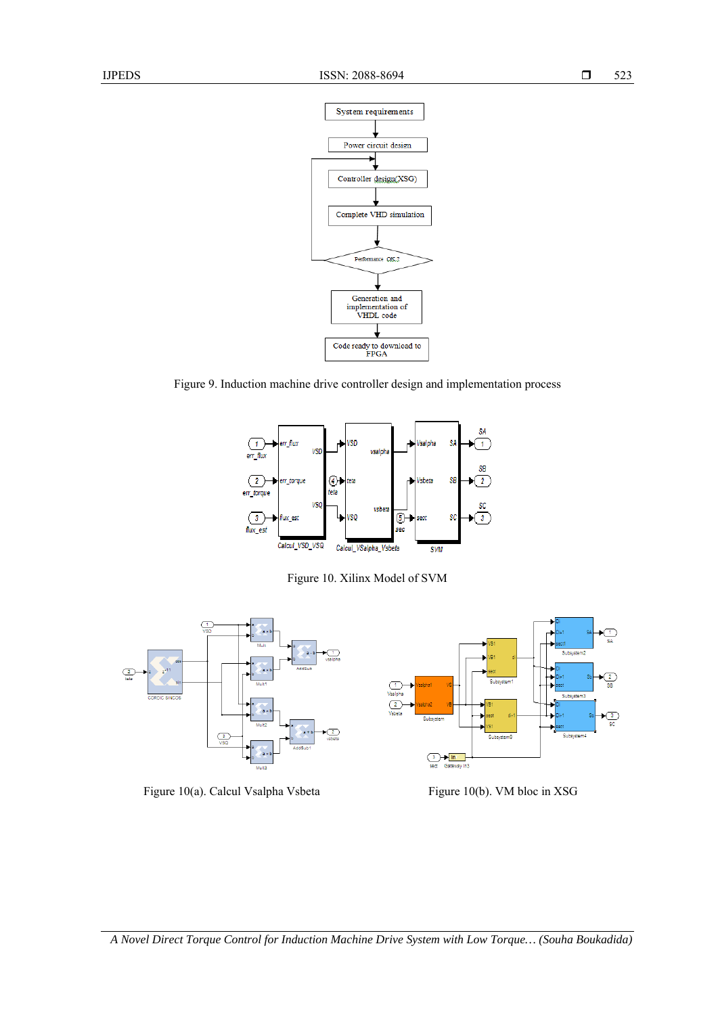



Figure 9. Induction machine drive controller design and implementation process



Figure 10. Xilinx Model of SVM



Figure 10(a). Calcul Vsalpha Vsbeta Figure 10(b). VM bloc in XSG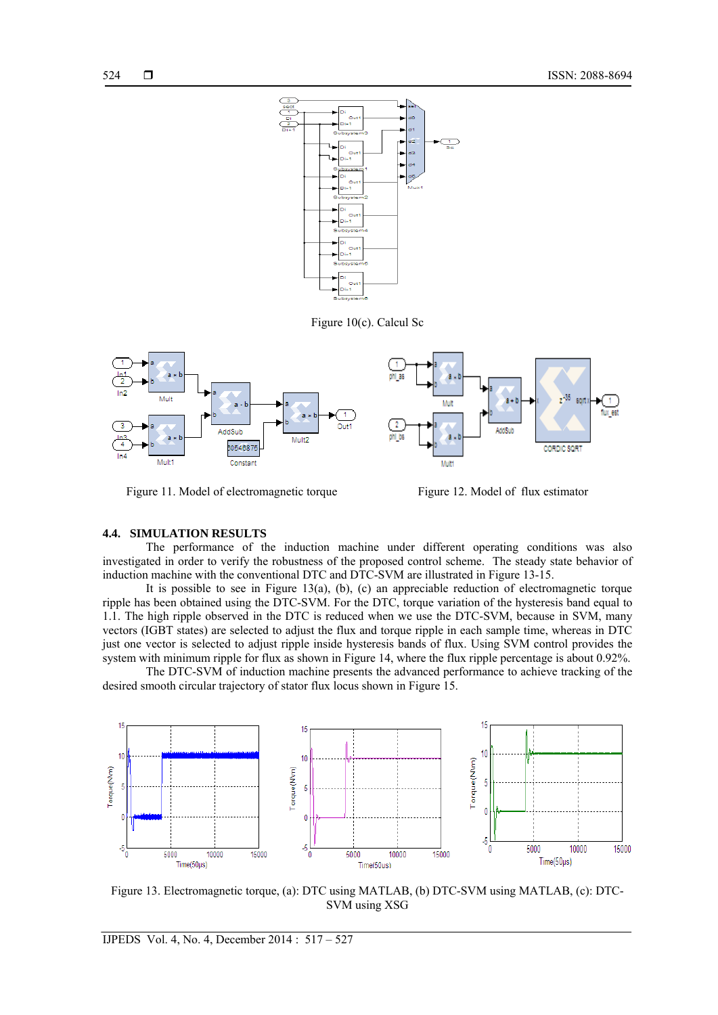

Figure 10(c). Calcul Sc



Figure 11. Model of electromagnetic torque Figure 12. Model of flux estimator

## **4.4. SIMULATION RESULTS**

The performance of the induction machine under different operating conditions was also investigated in order to verify the robustness of the proposed control scheme. The steady state behavior of induction machine with the conventional DTC and DTC-SVM are illustrated in Figure 13-15.

It is possible to see in Figure 13(a), (b), (c) an appreciable reduction of electromagnetic torque ripple has been obtained using the DTC-SVM. For the DTC, torque variation of the hysteresis band equal to 1.1. The high ripple observed in the DTC is reduced when we use the DTC-SVM, because in SVM, many vectors (IGBT states) are selected to adjust the flux and torque ripple in each sample time, whereas in DTC just one vector is selected to adjust ripple inside hysteresis bands of flux. Using SVM control provides the system with minimum ripple for flux as shown in Figure 14, where the flux ripple percentage is about 0.92%.

The DTC-SVM of induction machine presents the advanced performance to achieve tracking of the desired smooth circular trajectory of stator flux locus shown in Figure 15.



Figure 13. Electromagnetic torque, (a): DTC using MATLAB, (b) DTC-SVM using MATLAB, (c): DTC-SVM using XSG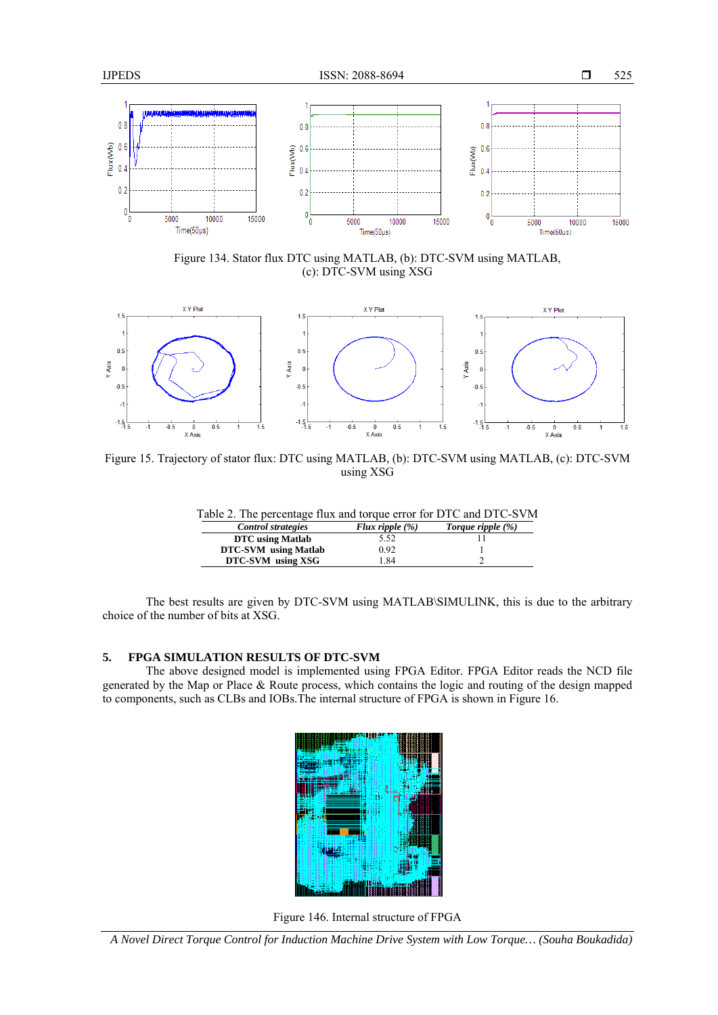

Figure 134. Stator flux DTC using MATLAB, (b): DTC-SVM using MATLAB, (c): DTC-SVM using XSG



Figure 15. Trajectory of stator flux: DTC using MATLAB, (b): DTC-SVM using MATLAB, (c): DTC-SVM using XSG

| Table 2. The percentage flux and torque error for DTC and DTC-SVM |                    |                      |  |  |  |
|-------------------------------------------------------------------|--------------------|----------------------|--|--|--|
| <b>Control strategies</b>                                         | Flux ripple $(\%)$ | Torque ripple $(\%)$ |  |  |  |
| DTC using Matlab                                                  | 5.52               |                      |  |  |  |
| <b>DTC-SVM</b> using Matlab                                       | 0.92               |                      |  |  |  |
| DTC-SVM using XSG                                                 | l 84               |                      |  |  |  |

The best results are given by DTC-SVM using MATLAB\SIMULINK, this is due to the arbitrary choice of the number of bits at XSG.

# **5. FPGA SIMULATION RESULTS OF DTC-SVM**

The above designed model is implemented using FPGA Editor. FPGA Editor reads the NCD file generated by the Map or Place & Route process, which contains the logic and routing of the design mapped to components, such as CLBs and IOBs.The internal structure of FPGA is shown in Figure 16.



Figure 146. Internal structure of FPGA

*A Novel Direct Torque Control for Induction Machine Drive System with Low Torque… (Souha Boukadida)*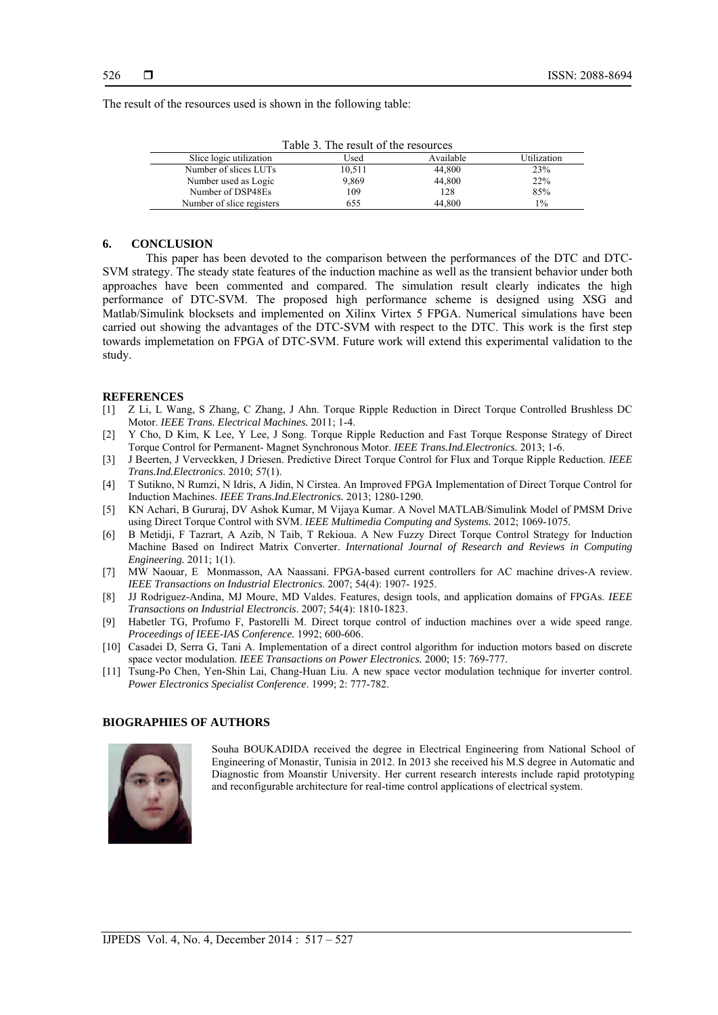The result of the resources used is shown in the following table:

| Table 5. The result of the resources |        |           |             |  |  |
|--------------------------------------|--------|-----------|-------------|--|--|
| Slice logic utilization              | Used   | Available | Utilization |  |  |
| Number of slices LUTs                | 10,511 | 44.800    | 23%         |  |  |
| Number used as Logic                 | 9,869  | 44,800    | 22%         |  |  |
| Number of DSP48Es                    | 109    | 128       | 85%         |  |  |
| Number of slice registers            | 655    | 44.800    | $1\%$       |  |  |

Table 3. The result of the resources

#### **6. CONCLUSION**

This paper has been devoted to the comparison between the performances of the DTC and DTC-SVM strategy. The steady state features of the induction machine as well as the transient behavior under both approaches have been commented and compared. The simulation result clearly indicates the high performance of DTC-SVM. The proposed high performance scheme is designed using XSG and Matlab/Simulink blocksets and implemented on Xilinx Virtex 5 FPGA. Numerical simulations have been carried out showing the advantages of the DTC-SVM with respect to the DTC. This work is the first step towards implemetation on FPGA of DTC-SVM. Future work will extend this experimental validation to the study.

#### **REFERENCES**

- [1] Z Li, L Wang, S Zhang, C Zhang, J Ahn. Torque Ripple Reduction in Direct Torque Controlled Brushless DC Motor. *IEEE Trans. Electrical Machines.* 2011; 1-4.
- [2] Y Cho, D Kim, K Lee, Y Lee, J Song. Torque Ripple Reduction and Fast Torque Response Strategy of Direct Torque Control for Permanent- Magnet Synchronous Motor. *IEEE Trans.Ind.Electronics.* 2013; 1-6.
- [3] J Beerten, J Verveckken, J Driesen. Predictive Direct Torque Control for Flux and Torque Ripple Reduction. *IEEE Trans.Ind.Electronics*. 2010; 57(1).
- [4] T Sutikno, N Rumzi, N Idris, A Jidin, N Cirstea. An Improved FPGA Implementation of Direct Torque Control for Induction Machines. *IEEE Trans.Ind.Electronics.* 2013; 1280-1290.
- [5] KN Achari, B Gururaj, DV Ashok Kumar, M Vijaya Kumar. A Novel MATLAB/Simulink Model of PMSM Drive using Direct Torque Control with SVM. *IEEE Multimedia Computing and Systems.* 2012; 1069-1075*.*
- [6] B Metidji, F Tazrart, A Azib, N Taib, T Rekioua. A New Fuzzy Direct Torque Control Strategy for Induction Machine Based on Indirect Matrix Converter. *International Journal of Research and Reviews in Computing Engineering.* 2011; 1(1).
- [7] MW Naouar, E Monmasson, AA Naassani. FPGA-based current controllers for AC machine drives-A review. *IEEE Transactions on Industrial Electronics*. 2007; 54(4): 1907- 1925.
- [8] JJ Rodriguez-Andina, MJ Moure, MD Valdes. Features, design tools, and application domains of FPGAs. *IEEE Transactions on Industrial Electroncis*. 2007; 54(4): 1810-1823.
- [9] Habetler TG, Profumo F, Pastorelli M. Direct torque control of induction machines over a wide speed range. *Proceedings of IEEE-IAS Conference.* 1992; 600-606.
- [10] Casadei D, Serra G, Tani A. Implementation of a direct control algorithm for induction motors based on discrete space vector modulation. *IEEE Transactions on Power Electronics.* 2000; 15: 769-777.
- [11] Tsung-Po Chen, Yen-Shin Lai, Chang-Huan Liu. A new space vector modulation technique for inverter control. *Power Electronics Specialist Conference*. 1999; 2: 777-782.

## **BIOGRAPHIES OF AUTHORS**



Souha BOUKADIDA received the degree in Electrical Engineering from National School of Engineering of Monastir, Tunisia in 2012. In 2013 she received his M.S degree in Automatic and Diagnostic from Moanstir University. Her current research interests include rapid prototyping and reconfigurable architecture for real-time control applications of electrical system.